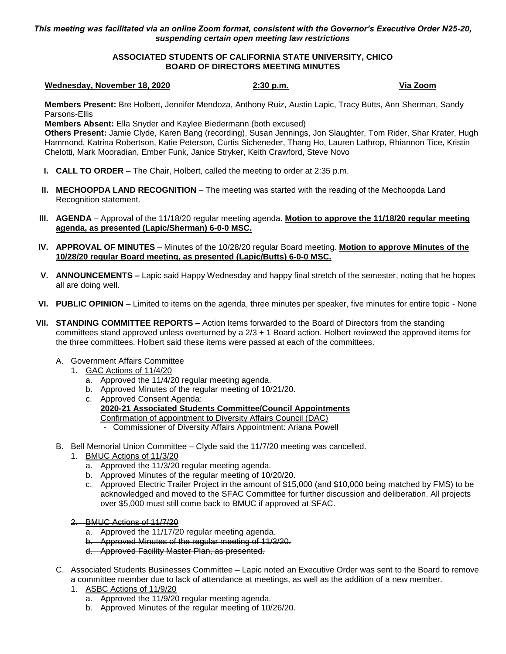## *This meeting was facilitated via an online Zoom format, consistent with the Governor's Executive Order N25-20, suspending certain open meeting law restrictions*

## **ASSOCIATED STUDENTS OF CALIFORNIA STATE UNIVERSITY, CHICO BOARD OF DIRECTORS MEETING MINUTES**

## **Wednesday, November 18, 2020 2:30 p.m. Via Zoom**

**Members Present:** Bre Holbert, Jennifer Mendoza, Anthony Ruiz, Austin Lapic, Tracy Butts, Ann Sherman, Sandy Parsons-Ellis

**Members Absent:** Ella Snyder and Kaylee Biedermann (both excused)

**Others Present:** Jamie Clyde, Karen Bang (recording), Susan Jennings, Jon Slaughter, Tom Rider, Shar Krater, Hugh Hammond, Katrina Robertson, Katie Peterson, Curtis Sicheneder, Thang Ho, Lauren Lathrop, Rhiannon Tice, Kristin Chelotti, Mark Mooradian, Ember Funk, Janice Stryker, Keith Crawford, Steve Novo

- **I. CALL TO ORDER** The Chair, Holbert, called the meeting to order at 2:35 p.m.
- **II. MECHOOPDA LAND RECOGNITION** The meeting was started with the reading of the Mechoopda Land Recognition statement.
- **III. AGENDA** Approval of the 11/18/20 regular meeting agenda. **Motion to approve the 11/18/20 regular meeting agenda, as presented (Lapic/Sherman) 6-0-0 MSC.**
- **IV. APPROVAL OF MINUTES** Minutes of the 10/28/20 regular Board meeting. **Motion to approve Minutes of the 10/28/20 regular Board meeting, as presented (Lapic/Butts) 6-0-0 MSC.**
- **V. ANNOUNCEMENTS –** Lapic said Happy Wednesday and happy final stretch of the semester, noting that he hopes all are doing well.
- **VI. PUBLIC OPINION** Limited to items on the agenda, three minutes per speaker, five minutes for entire topic None
- **VII. STANDING COMMITTEE REPORTS –** Action Items forwarded to the Board of Directors from the standing committees stand approved unless overturned by a 2/3 + 1 Board action. Holbert reviewed the approved items for the three committees. Holbert said these items were passed at each of the committees.
	- A. Government Affairs Committee
		- 1. GAC Actions of 11/4/20
			- a. Approved the 11/4/20 regular meeting agenda.
			- b. Approved Minutes of the regular meeting of 10/21/20.
			- c. Approved Consent Agenda: **2020-21 Associated Students Committee/Council Appointments** Confirmation of appointment to Diversity Affairs Council (DAC) - Commissioner of Diversity Affairs Appointment: Ariana Powell
	- B. Bell Memorial Union Committee Clyde said the 11/7/20 meeting was cancelled.
		- 1. BMUC Actions of 11/3/20
			- a. Approved the 11/3/20 regular meeting agenda.
			- b. Approved Minutes of the regular meeting of 10/20/20.
			- c. Approved Electric Trailer Project in the amount of \$15,000 (and \$10,000 being matched by FMS) to be acknowledged and moved to the SFAC Committee for further discussion and deliberation. All projects over \$5,000 must still come back to BMUC if approved at SFAC.
		- 2. BMUC Actions of 11/7/20
			- a. Approved the 11/17/20 regular meeting agenda.
			- b. Approved Minutes of the regular meeting of 11/3/20.
			- d. Approved Facility Master Plan, as presented.
	- C. Associated Students Businesses Committee Lapic noted an Executive Order was sent to the Board to remove a committee member due to lack of attendance at meetings, as well as the addition of a new member.
		- 1. ASBC Actions of 11/9/20
			- a. Approved the 11/9/20 regular meeting agenda.
			- b. Approved Minutes of the regular meeting of 10/26/20.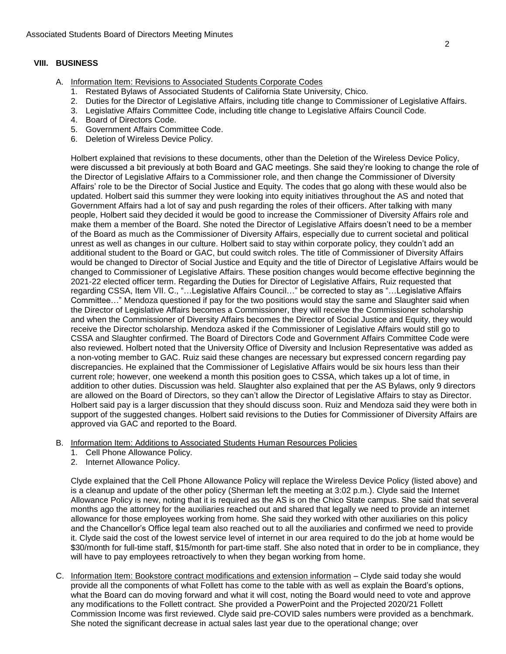## **VIII. BUSINESS**

- A. Information Item: Revisions to Associated Students Corporate Codes
	- 1. Restated Bylaws of Associated Students of California State University, Chico.
	- 2. Duties for the Director of Legislative Affairs, including title change to Commissioner of Legislative Affairs.
	- 3. Legislative Affairs Committee Code, including title change to Legislative Affairs Council Code.
	- 4. Board of Directors Code.
	- 5. Government Affairs Committee Code.
	- 6. Deletion of Wireless Device Policy.

Holbert explained that revisions to these documents, other than the Deletion of the Wireless Device Policy, were discussed a bit previously at both Board and GAC meetings. She said they're looking to change the role of the Director of Legislative Affairs to a Commissioner role, and then change the Commissioner of Diversity Affairs' role to be the Director of Social Justice and Equity. The codes that go along with these would also be updated. Holbert said this summer they were looking into equity initiatives throughout the AS and noted that Government Affairs had a lot of say and push regarding the roles of their officers. After talking with many people, Holbert said they decided it would be good to increase the Commissioner of Diversity Affairs role and make them a member of the Board. She noted the Director of Legislative Affairs doesn't need to be a member of the Board as much as the Commissioner of Diversity Affairs, especially due to current societal and political unrest as well as changes in our culture. Holbert said to stay within corporate policy, they couldn't add an additional student to the Board or GAC, but could switch roles. The title of Commissioner of Diversity Affairs would be changed to Director of Social Justice and Equity and the title of Director of Legislative Affairs would be changed to Commissioner of Legislative Affairs. These position changes would become effective beginning the 2021-22 elected officer term. Regarding the Duties for Director of Legislative Affairs, Ruiz requested that regarding CSSA, Item VII. C., "…Legislative Affairs Council…" be corrected to stay as "…Legislative Affairs Committee…" Mendoza questioned if pay for the two positions would stay the same and Slaughter said when the Director of Legislative Affairs becomes a Commissioner, they will receive the Commissioner scholarship and when the Commissioner of Diversity Affairs becomes the Director of Social Justice and Equity, they would receive the Director scholarship. Mendoza asked if the Commissioner of Legislative Affairs would still go to CSSA and Slaughter confirmed. The Board of Directors Code and Government Affairs Committee Code were also reviewed. Holbert noted that the University Office of Diversity and Inclusion Representative was added as a non-voting member to GAC. Ruiz said these changes are necessary but expressed concern regarding pay discrepancies. He explained that the Commissioner of Legislative Affairs would be six hours less than their current role; however, one weekend a month this position goes to CSSA, which takes up a lot of time, in addition to other duties. Discussion was held. Slaughter also explained that per the AS Bylaws, only 9 directors are allowed on the Board of Directors, so they can't allow the Director of Legislative Affairs to stay as Director. Holbert said pay is a larger discussion that they should discuss soon. Ruiz and Mendoza said they were both in support of the suggested changes. Holbert said revisions to the Duties for Commissioner of Diversity Affairs are approved via GAC and reported to the Board.

- B. Information Item: Additions to Associated Students Human Resources Policies
	- 1. Cell Phone Allowance Policy.
	- 2. Internet Allowance Policy.

Clyde explained that the Cell Phone Allowance Policy will replace the Wireless Device Policy (listed above) and is a cleanup and update of the other policy (Sherman left the meeting at 3:02 p.m.). Clyde said the Internet Allowance Policy is new, noting that it is required as the AS is on the Chico State campus. She said that several months ago the attorney for the auxiliaries reached out and shared that legally we need to provide an internet allowance for those employees working from home. She said they worked with other auxiliaries on this policy and the Chancellor's Office legal team also reached out to all the auxiliaries and confirmed we need to provide it. Clyde said the cost of the lowest service level of internet in our area required to do the job at home would be \$30/month for full-time staff, \$15/month for part-time staff. She also noted that in order to be in compliance, they will have to pay employees retroactively to when they began working from home.

C. Information Item: Bookstore contract modifications and extension information - Clyde said today she would provide all the components of what Follett has come to the table with as well as explain the Board's options, what the Board can do moving forward and what it will cost, noting the Board would need to vote and approve any modifications to the Follett contract. She provided a PowerPoint and the Projected 2020/21 Follett Commission Income was first reviewed. Clyde said pre-COVID sales numbers were provided as a benchmark. She noted the significant decrease in actual sales last year due to the operational change; over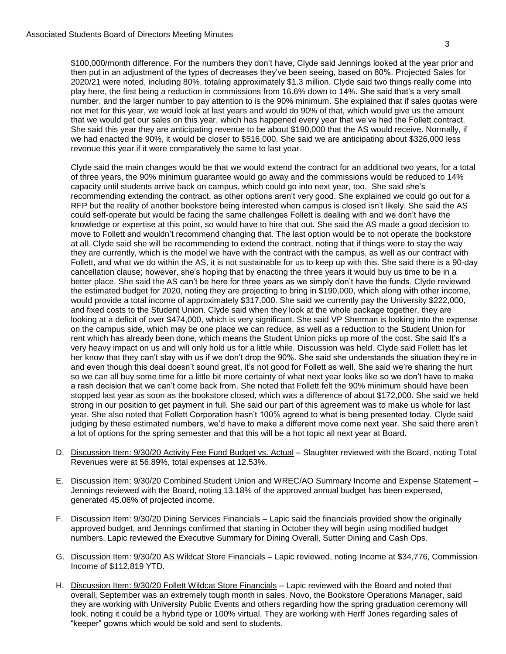revenue this year if it were comparatively the same to last year.

\$100,000/month difference. For the numbers they don't have, Clyde said Jennings looked at the year prior and then put in an adjustment of the types of decreases they've been seeing, based on 80%. Projected Sales for 2020/21 were noted, including 80%, totaling approximately \$1.3 million. Clyde said two things really come into play here, the first being a reduction in commissions from 16.6% down to 14%. She said that's a very small number, and the larger number to pay attention to is the 90% minimum. She explained that if sales quotas were not met for this year, we would look at last years and would do 90% of that, which would give us the amount that we would get our sales on this year, which has happened every year that we've had the Follett contract. She said this year they are anticipating revenue to be about \$190,000 that the AS would receive. Normally, if

we had enacted the 90%, it would be closer to \$516,000. She said we are anticipating about \$326,000 less

Clyde said the main changes would be that we would extend the contract for an additional two years, for a total of three years, the 90% minimum guarantee would go away and the commissions would be reduced to 14% capacity until students arrive back on campus, which could go into next year, too. She said she's recommending extending the contract, as other options aren't very good. She explained we could go out for a RFP but the reality of another bookstore being interested when campus is closed isn't likely. She said the AS could self-operate but would be facing the same challenges Follett is dealing with and we don't have the knowledge or expertise at this point, so would have to hire that out. She said the AS made a good decision to move to Follett and wouldn't recommend changing that. The last option would be to not operate the bookstore at all. Clyde said she will be recommending to extend the contract, noting that if things were to stay the way they are currently, which is the model we have with the contract with the campus, as well as our contract with Follett, and what we do within the AS, it is not sustainable for us to keep up with this. She said there is a 90-day cancellation clause; however, she's hoping that by enacting the three years it would buy us time to be in a better place. She said the AS can't be here for three years as we simply don't have the funds. Clyde reviewed the estimated budget for 2020, noting they are projecting to bring in \$190,000, which along with other income, would provide a total income of approximately \$317,000. She said we currently pay the University \$222,000, and fixed costs to the Student Union. Clyde said when they look at the whole package together, they are looking at a deficit of over \$474,000, which is very significant. She said VP Sherman is looking into the expense on the campus side, which may be one place we can reduce, as well as a reduction to the Student Union for rent which has already been done, which means the Student Union picks up more of the cost. She said It's a very heavy impact on us and will only hold us for a little while. Discussion was held. Clyde said Follett has let her know that they can't stay with us if we don't drop the 90%. She said she understands the situation they're in and even though this deal doesn't sound great, it's not good for Follett as well. She said we're sharing the hurt so we can all buy some time for a little bit more certainty of what next year looks like so we don't have to make a rash decision that we can't come back from. She noted that Follett felt the 90% minimum should have been stopped last year as soon as the bookstore closed, which was a difference of about \$172,000. She said we held strong in our position to get payment in full. She said our part of this agreement was to make us whole for last year. She also noted that Follett Corporation hasn't 100% agreed to what is being presented today. Clyde said judging by these estimated numbers, we'd have to make a different move come next year. She said there aren't a lot of options for the spring semester and that this will be a hot topic all next year at Board.

- D. Discussion Item: 9/30/20 Activity Fee Fund Budget vs. Actual Slaughter reviewed with the Board, noting Total Revenues were at 56.89%, total expenses at 12.53%.
- E. Discussion Item: 9/30/20 Combined Student Union and WREC/AO Summary Income and Expense Statement Jennings reviewed with the Board, noting 13.18% of the approved annual budget has been expensed, generated 45.06% of projected income.
- F. Discussion Item: 9/30/20 Dining Services Financials Lapic said the financials provided show the originally approved budget, and Jennings confirmed that starting in October they will begin using modified budget numbers. Lapic reviewed the Executive Summary for Dining Overall, Sutter Dining and Cash Ops.
- G. Discussion Item: 9/30/20 AS Wildcat Store Financials Lapic reviewed, noting Income at \$34,776, Commission Income of \$112,819 YTD.
- H. Discussion Item: 9/30/20 Follett Wildcat Store Financials Lapic reviewed with the Board and noted that overall, September was an extremely tough month in sales. Novo, the Bookstore Operations Manager, said they are working with University Public Events and others regarding how the spring graduation ceremony will look, noting it could be a hybrid type or 100% virtual. They are working with Herff Jones regarding sales of "keeper" gowns which would be sold and sent to students.